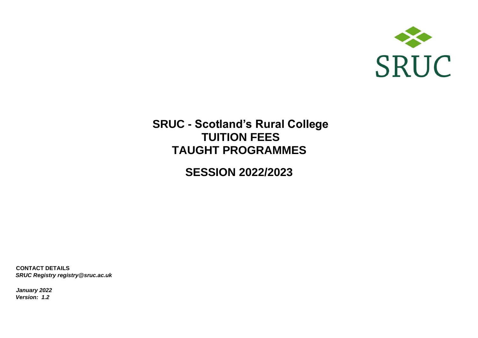

# **SRUC - Scotland's Rural College TUITION FEES TAUGHT PROGRAMMES**

**SESSION 2022/2023**

**CONTACT DETAILS**  *SRUC Registry registry@sruc.ac.uk*

*January 2022 Version: 1.2*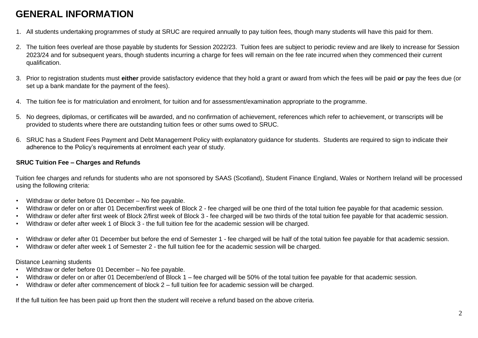# **GENERAL INFORMATION**

- 1. All students undertaking programmes of study at SRUC are required annually to pay tuition fees, though many students will have this paid for them.
- 2. The tuition fees overleaf are those payable by students for Session 2022/23. Tuition fees are subject to periodic review and are likely to increase for Session 2023/24 and for subsequent years, though students incurring a charge for fees will remain on the fee rate incurred when they commenced their current qualification.
- 3. Prior to registration students must **either** provide satisfactory evidence that they hold a grant or award from which the fees will be paid **or** pay the fees due (or set up a bank mandate for the payment of the fees).
- 4. The tuition fee is for matriculation and enrolment, for tuition and for assessment/examination appropriate to the programme.
- 5. No degrees, diplomas, or certificates will be awarded, and no confirmation of achievement, references which refer to achievement, or transcripts will be provided to students where there are outstanding tuition fees or other sums owed to SRUC.
- 6. SRUC has a Student Fees Payment and Debt Management Policy with explanatory guidance for students. Students are required to sign to indicate their adherence to the Policy's requirements at enrolment each year of study.

#### **SRUC Tuition Fee – Charges and Refunds**

Tuition fee charges and refunds for students who are not sponsored by SAAS (Scotland), Student Finance England, Wales or Northern Ireland will be processed using the following criteria:

- Withdraw or defer before 01 December No fee payable.
- Withdraw or defer on or after 01 December/first week of Block 2 fee charged will be one third of the total tuition fee payable for that academic session.
- Withdraw or defer after first week of Block 2/first week of Block 3 fee charged will be two thirds of the total tuition fee payable for that academic session.
- Withdraw or defer after week 1 of Block 3 the full tuition fee for the academic session will be charged.
- Withdraw or defer after 01 December but before the end of Semester 1 fee charged will be half of the total tuition fee payable for that academic session.
- Withdraw or defer after week 1 of Semester 2 the full tuition fee for the academic session will be charged.

#### Distance Learning students

- Withdraw or defer before 01 December No fee payable.
- Withdraw or defer on or after 01 December/end of Block 1 fee charged will be 50% of the total tuition fee payable for that academic session.
- Withdraw or defer after commencement of block 2 full tuition fee for academic session will be charged.

If the full tuition fee has been paid up front then the student will receive a refund based on the above criteria.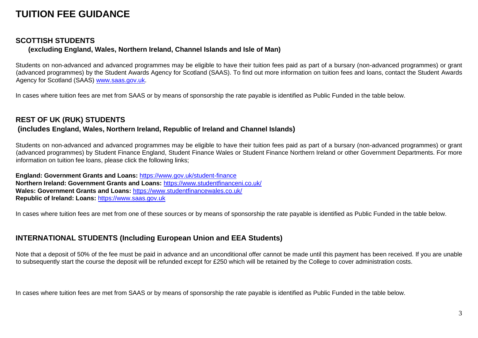# **TUITION FEE GUIDANCE**

## **SCOTTISH STUDENTS**

## **(excluding England, Wales, Northern Ireland, Channel Islands and Isle of Man)**

Students on non-advanced and advanced programmes may be eligible to have their tuition fees paid as part of a bursary (non-advanced programmes) or grant (advanced programmes) by the Student Awards Agency for Scotland (SAAS). To find out more information on tuition fees and loans, contact the Student Awards Agency for Scotland (SAAS) [www.saas.gov.uk.](http://www.saas.gov.uk/)

In cases where tuition fees are met from SAAS or by means of sponsorship the rate payable is identified as Public Funded in the table below.

# **REST OF UK (RUK) STUDENTS**

## **(includes England, Wales, Northern Ireland, Republic of Ireland and Channel Islands)**

Students on non-advanced and advanced programmes may be eligible to have their tuition fees paid as part of a bursary (non-advanced programmes) or grant (advanced programmes) by Student Finance England, Student Finance Wales or Student Finance Northern Ireland or other Government Departments. For more information on tuition fee loans, please click the following links;

**England: Government Grants and Loans[:](https://www.gov.uk/student-finance)** <https://www.gov.uk/student-finance> **Northern Ireland: Government Grants and Loans[:](https://www.studentfinanceni.co.uk/)** <https://www.studentfinanceni.co.uk/> **Wales: Government Grants and Loans[:](https://www.studentfinancewales.co.uk/)** <https://www.studentfinancewales.co.uk/> **Republic of Ireland: Loans:** [https://www.saas.gov.uk](https://www.saas.gov.uk/)

In cases where tuition fees are met from one of these sources or by means of sponsorship the rate payable is identified as Public Funded in the table below.

# **INTERNATIONAL STUDENTS (Including European Union and EEA Students)**

Note that a deposit of 50% of the fee must be paid in advance and an unconditional offer cannot be made until this payment has been received. If you are unable to subsequently start the course the deposit will be refunded except for £250 which will be retained by the College to cover administration costs.

In cases where tuition fees are met from SAAS or by means of sponsorship the rate payable is identified as Public Funded in the table below.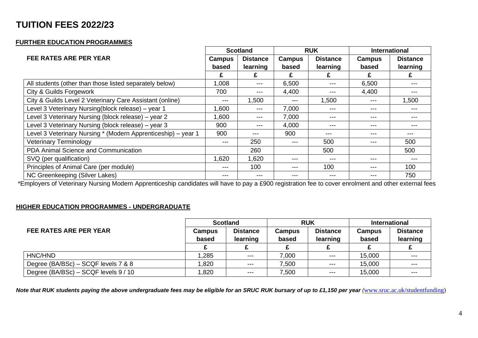# **TUITION FEES 2022/23**

### **FURTHER EDUCATION PROGRAMMES**

|                                                               |        | <b>Scotland</b> | <b>RUK</b>    |                 | <b>International</b> |                 |
|---------------------------------------------------------------|--------|-----------------|---------------|-----------------|----------------------|-----------------|
| <b>FEE RATES ARE PER YEAR</b>                                 | Campus | <b>Distance</b> | <b>Campus</b> | <b>Distance</b> | <b>Campus</b>        | <b>Distance</b> |
|                                                               | based  | learning        | based         | learning        | based                | learning        |
|                                                               | £      | £               |               | £.              |                      |                 |
| All students (other than those listed separately below)       | 1,008  | ---             | 6,500         | $---$           | 6,500                | ---             |
| City & Guilds Forgework                                       | 700    | ---             | 4,400         | ---             | 4,400                | ---             |
| City & Guilds Level 2 Veterinary Care Assistant (online)      | ---    | 1,500           | ---           | 1,500           | ---                  | 1,500           |
| Level 3 Veterinary Nursing(block release) - year 1            | 1,600  | ---             | 7,000         | ---             | ---                  | ---             |
| Level 3 Veterinary Nursing (block release) – year 2           | 1,600  | ---             | 7,000         | ---             | ---                  | ---             |
| Level 3 Veterinary Nursing (block release) – year 3           | 900    | ---             | 4,000         | $---$           | ---                  | ---             |
| Level 3 Veterinary Nursing * (Modern Apprenticeship) – year 1 | 900    | ---             | 900           | ---             | ---                  | ---             |
| <b>Veterinary Terminology</b>                                 | ---    | 250             | ---           | 500             | ---                  | 500             |
| PDA Animal Science and Communication                          |        | 260             |               | 500             |                      | 500             |
| SVQ (per qualification)                                       | 1,620  | 1,620           | ---           | ---             | ---                  | ---             |
| Principles of Animal Care (per module)                        | ---    | 100             | ---           | 100             | ---                  | 100             |
| NC Greenkeeping (Silver Lakes)                                | ---    | ---             | ---           | $---$           | ---                  | 750             |

\*Employers of Veterinary Nursing Modern Apprenticeship candidates will have to pay a £900 registration fee to cover enrolment and other external fees

#### **HIGHER EDUCATION PROGRAMMES - UNDERGRADUATE**

| FEE RATES ARE PER YEAR               | <b>Scotland</b> |                             | <b>RUK</b>             |                             | <b>International</b> |                             |
|--------------------------------------|-----------------|-----------------------------|------------------------|-----------------------------|----------------------|-----------------------------|
|                                      | Campus<br>based | <b>Distance</b><br>learning | <b>Campus</b><br>based | <b>Distance</b><br>learning | Campus<br>based      | <b>Distance</b><br>learning |
|                                      |                 |                             |                        |                             |                      |                             |
| HNC/HND                              | .285            | $---$                       | 7,000                  | $--$                        | 15,000               | $---$                       |
| Degree (BA/BSc) – SCQF levels 7 & 8  | .820            | $---$                       | 7,500                  | $---$                       | 15,000               | $---$                       |
| Degree (BA/BSc) – SCQF levels 9 / 10 | .820            | $---$                       | 7,500                  | $--$                        | 15,000               | $- - -$                     |

*Note that RUK students paying the above undergraduate fees may be eligible for an SRUC RUK bursary of up to £1,150 per year [\(](http://www.sruc.ac.uk/studentfunding)[www.sruc.ac.uk/studentfunding\)](http://www.sruc.ac.uk/studentfunding)*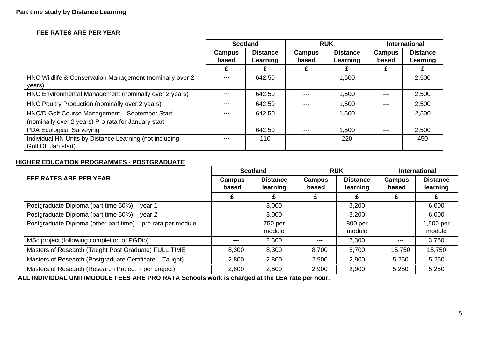#### **Part time study by Distance Learning**

#### **FEE RATES ARE PER YEAR**

|                                                                                                       | <b>Scotland</b>        |                             | <b>RUK</b>      |                             | <b>International</b> |                             |
|-------------------------------------------------------------------------------------------------------|------------------------|-----------------------------|-----------------|-----------------------------|----------------------|-----------------------------|
|                                                                                                       | <b>Campus</b><br>based | <b>Distance</b><br>Learning | Campus<br>based | <b>Distance</b><br>Learning | Campus<br>based      | <b>Distance</b><br>Learning |
|                                                                                                       |                        |                             |                 |                             |                      |                             |
| HNC Wildlife & Conservation Management (nominally over 2<br>years)                                    |                        | 642.50                      | ---             | 1,500                       | ---                  | 2,500                       |
| HNC Environmental Management (nominally over 2 years)                                                 |                        | 642.50                      | ---             | 1,500                       | $---$                | 2,500                       |
| HNC Poultry Production (nominally over 2 years)                                                       |                        | 642.50                      | ---             | 1,500                       | $---$                | 2,500                       |
| HNC/D Golf Course Management - September Start<br>(nominally over 2 years) Pro rata for January start |                        | 642.50                      | ---             | 1,500                       | $---$                | 2,500                       |
| PDA Ecological Surveying                                                                              | ---                    | 642.50                      | ---             | 1,500                       | $---$                | 2,500                       |
| Individual HN Units by Distance Learning (not including<br>Golf DL Jan start)                         |                        | 110                         | ---             | 220                         | $---$                | 450                         |

#### **HIGHER EDUCATION PROGRAMMES - POSTGRADUATE**

|                                                              | <b>Scotland</b> |                 | <b>RUK</b>    |                 | <b>International</b> |                 |
|--------------------------------------------------------------|-----------------|-----------------|---------------|-----------------|----------------------|-----------------|
| <b>FEE RATES ARE PER YEAR</b>                                | Campus          | <b>Distance</b> | <b>Campus</b> | <b>Distance</b> | Campus               | <b>Distance</b> |
|                                                              | based           | learning        | based         | learning        | based                | learning        |
|                                                              |                 |                 |               |                 |                      |                 |
| Postgraduate Diploma (part time 50%) – year 1                | $---$           | 3,000           | $-- -$        | 3,200           | $--$                 | 6,000           |
| Postgraduate Diploma (part time 50%) - year 2                | $---$           | 3,000           | $---$         | 3,200           | $---$                | 6,000           |
| Postgraduate Diploma (other part time) - pro rata per module |                 | 750 per         |               | 800 per         |                      | 1,500 per       |
|                                                              |                 | module          |               | module          |                      | module          |
| MSc project (following completion of PGDip)                  | $---$           | 2,300           | ---           | 2,300           | $--$                 | 3,750           |
| Masters of Research (Taught Post Graduate) FULL TIME         | 8,300           | 8,300           | 8,700         | 8,700           | 15,750               | 15,750          |
| Masters of Research (Postgraduate Certificate – Taught)      | 2,800           | 2,800           | 2,900         | 2,900           | 5,250                | 5,250           |
| Masters of Research (Research Project - per project)         | 2,800           | 2,800           | 2,900         | 2,900           | 5,250                | 5,250           |

**ALL INDIVIDUAL UNIT/MODULE FEES ARE PRO RATA Schools work is charged at the LEA rate per hour.**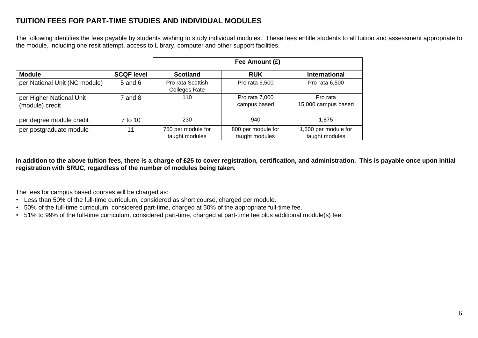## **TUITION FEES FOR PART-TIME STUDIES AND INDIVIDUAL MODULES**

The following identifies the fees payable by students wishing to study individual modules. These fees entitle students to all tuition and assessment appropriate to the module, including one resit attempt, access to Library, computer and other support facilities.

|                                             |                   | Fee Amount (£)                            |                                      |                                        |  |  |  |
|---------------------------------------------|-------------------|-------------------------------------------|--------------------------------------|----------------------------------------|--|--|--|
| <b>Module</b>                               | <b>SCQF level</b> | <b>Scotland</b>                           | <b>RUK</b>                           | <b>International</b>                   |  |  |  |
| per National Unit (NC module)               | $5$ and $6$       | Pro rata Scottish<br><b>Colleges Rate</b> | Pro rata 6,500                       | Pro rata 6,500                         |  |  |  |
| per Higher National Unit<br>(module) credit | 7 and 8           | 110                                       | Pro rata 7,000<br>campus based       | Pro rata<br>15,000 campus based        |  |  |  |
| per degree module credit                    | 7 to 10           | 230                                       | 940                                  | 1.875                                  |  |  |  |
| per postgraduate module                     | 11                | 750 per module for<br>taught modules      | 800 per module for<br>taught modules | 1,500 per module for<br>taught modules |  |  |  |

**In addition to the above tuition fees, there is a charge of £25 to cover registration, certification, and administration. This is payable once upon initial registration with SRUC, regardless of the number of modules being taken.** 

The fees for campus based courses will be charged as:

- Less than 50% of the full-time curriculum, considered as short course, charged per module.
- 50% of the full-time curriculum, considered part-time, charged at 50% of the appropriate full-time fee.
- 51% to 99% of the full-time curriculum, considered part-time, charged at part-time fee plus additional module(s) fee.